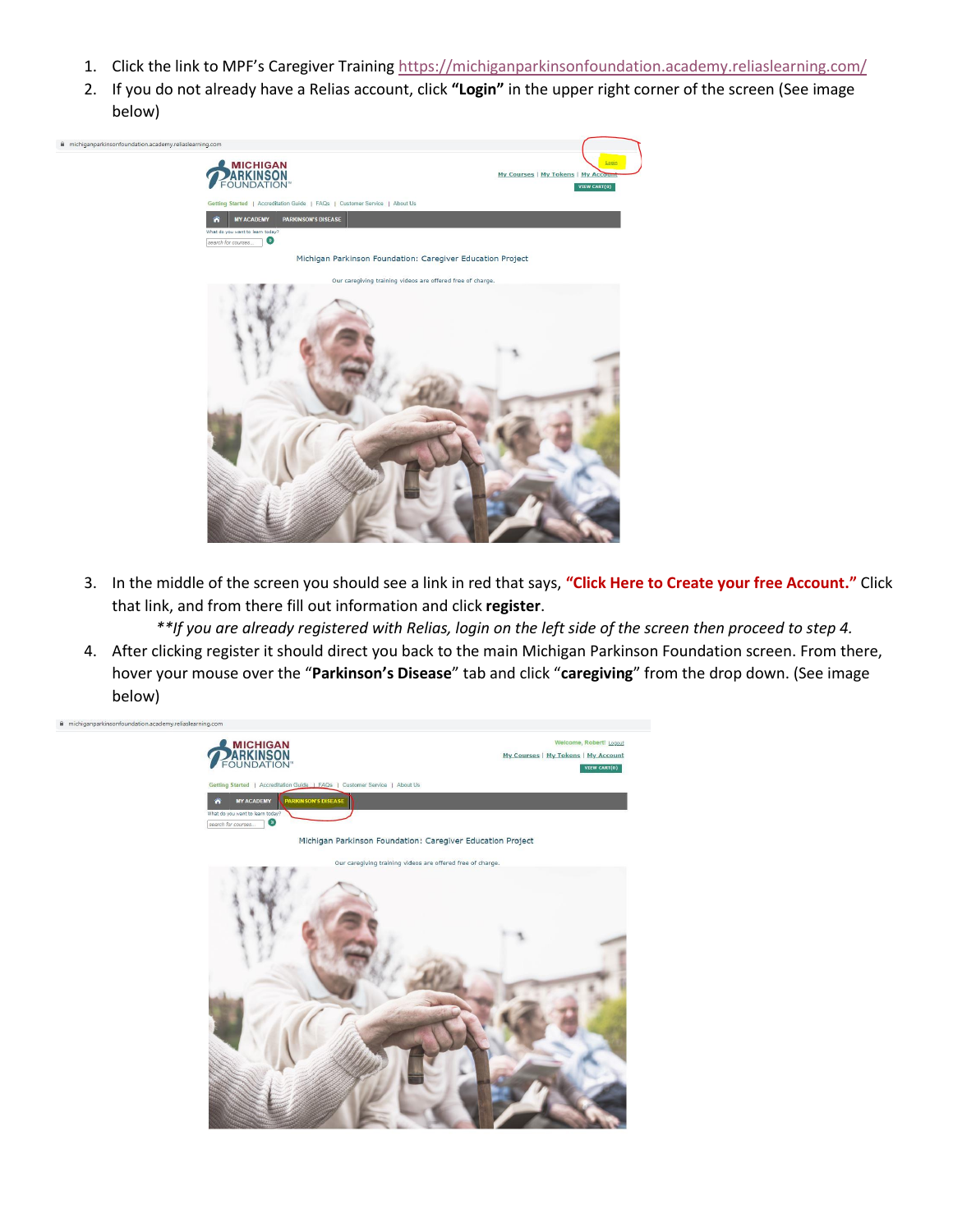- 1. Click the link to MPF's Caregiver Training<https://michiganparkinsonfoundation.academy.reliaslearning.com/>
- 2. If you do not already have a Relias account, click **"Login"** in the upper right corner of the screen (See image below)



3. In the middle of the screen you should see a link in red that says, **"Click Here to Create your free Account."** Click that link, and from there fill out information and click **register**.

*\*\*If you are already registered with Relias, login on the left side of the screen then proceed to step 4.*

4. After clicking register it should direct you back to the main Michigan Parkinson Foundation screen. From there, hover your mouse over the "**Parkinson's Disease**" tab and click "**caregiving**" from the drop down. (See image below)